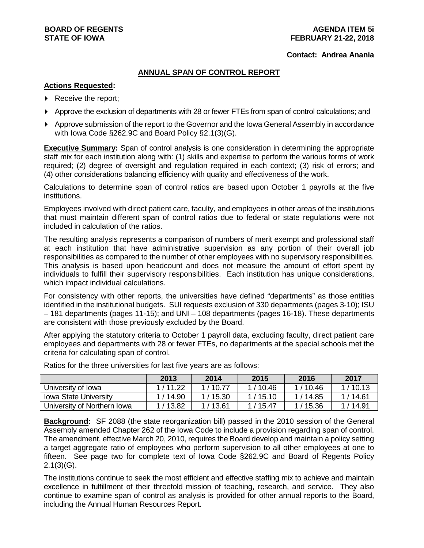#### **AGENDA ITEM 5i FEBRUARY 21-22, 2018**

#### **Contact: Andrea Anania**

#### **ANNUAL SPAN OF CONTROL REPORT**

#### **Actions Requested:**

- ▶ Receive the report;
- Approve the exclusion of departments with 28 or fewer FTEs from span of control calculations; and
- Approve submission of the report to the Governor and the Iowa General Assembly in accordance with Iowa Code §262.9C and Board Policy §2.1(3)(G).

**Executive Summary:** Span of control analysis is one consideration in determining the appropriate staff mix for each institution along with: (1) skills and expertise to perform the various forms of work required; (2) degree of oversight and regulation required in each context; (3) risk of errors; and (4) other considerations balancing efficiency with quality and effectiveness of the work.

Calculations to determine span of control ratios are based upon October 1 payrolls at the five institutions.

Employees involved with direct patient care, faculty, and employees in other areas of the institutions that must maintain different span of control ratios due to federal or state regulations were not included in calculation of the ratios.

The resulting analysis represents a comparison of numbers of merit exempt and professional staff at each institution that have administrative supervision as any portion of their overall job responsibilities as compared to the number of other employees with no supervisory responsibilities. This analysis is based upon headcount and does not measure the amount of effort spent by individuals to fulfill their supervisory responsibilities. Each institution has unique considerations, which impact individual calculations.

For consistency with other reports, the universities have defined "departments" as those entities identified in the institutional budgets. SUI requests exclusion of 330 departments (pages 3-10); ISU – 181 departments (pages 11-15); and UNI – 108 departments (pages 16-18). These departments are consistent with those previously excluded by the Board.

After applying the statutory criteria to October 1 payroll data, excluding faculty, direct patient care employees and departments with 28 or fewer FTEs, no departments at the special schools met the criteria for calculating span of control.

|                              | 2013      | 2014    | 2015      | 2016      | 2017      |
|------------------------------|-----------|---------|-----------|-----------|-----------|
| University of Iowa           | 1/11.22   | 1/10.77 | 1/10.46   | 1 / 10.46 | 1/10.13   |
| <b>Iowa State University</b> | 1/14.90   | 1/15.30 | 1/15.10   | 1/14.85   | 1 / 14.61 |
| University of Northern Iowa  | 1 / 13.82 | 1/13.61 | 1 / 15.47 | 1/15.36   | 1/14.91   |

Ratios for the three universities for last five years are as follows:

**Background:** SF 2088 (the state reorganization bill) passed in the 2010 session of the General Assembly amended Chapter 262 of the Iowa Code to include a provision regarding span of control. The amendment, effective March 20, 2010, requires the Board develop and maintain a policy setting a target aggregate ratio of employees who perform supervision to all other employees at one to fifteen. See page two for complete text of Iowa Code §262.9C and Board of Regents Policy  $2.1(3)(G)$ .

The institutions continue to seek the most efficient and effective staffing mix to achieve and maintain excellence in fulfillment of their threefold mission of teaching, research, and service. They also continue to examine span of control as analysis is provided for other annual reports to the Board, including the Annual Human Resources Report.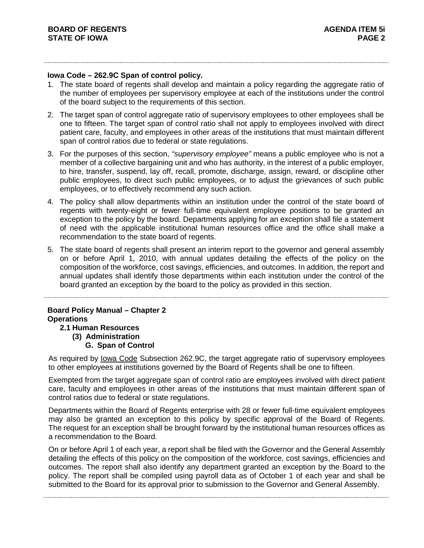### **Iowa Code – 262.9C Span of control policy.**

- 1. The state board of regents shall develop and maintain a policy regarding the aggregate ratio of the number of employees per supervisory employee at each of the institutions under the control of the board subject to the requirements of this section.
- 2. The target span of control aggregate ratio of supervisory employees to other employees shall be one to fifteen. The target span of control ratio shall not apply to employees involved with direct patient care, faculty, and employees in other areas of the institutions that must maintain different span of control ratios due to federal or state regulations.
- 3. For the purposes of this section, *"supervisory employee"* means a public employee who is not a member of a collective bargaining unit and who has authority, in the interest of a public employer, to hire, transfer, suspend, lay off, recall, promote, discharge, assign, reward, or discipline other public employees, to direct such public employees, or to adjust the grievances of such public employees, or to effectively recommend any such action.
- 4. The policy shall allow departments within an institution under the control of the state board of regents with twenty-eight or fewer full-time equivalent employee positions to be granted an exception to the policy by the board. Departments applying for an exception shall file a statement of need with the applicable institutional human resources office and the office shall make a recommendation to the state board of regents.
- 5. The state board of regents shall present an interim report to the governor and general assembly on or before April 1, 2010, with annual updates detailing the effects of the policy on the composition of the workforce, cost savings, efficiencies, and outcomes. In addition, the report and annual updates shall identify those departments within each institution under the control of the board granted an exception by the board to the policy as provided in this section.

# **Board Policy Manual – Chapter 2 Operations**

- **2.1 Human Resources (3) Administration**
	- **G. Span of Control**

As required by Iowa Code Subsection 262.9C, the target aggregate ratio of supervisory employees to other employees at institutions governed by the Board of Regents shall be one to fifteen.

Exempted from the target aggregate span of control ratio are employees involved with direct patient care, faculty and employees in other areas of the institutions that must maintain different span of control ratios due to federal or state regulations.

Departments within the Board of Regents enterprise with 28 or fewer full-time equivalent employees may also be granted an exception to this policy by specific approval of the Board of Regents. The request for an exception shall be brought forward by the institutional human resources offices as a recommendation to the Board.

On or before April 1 of each year, a report shall be filed with the Governor and the General Assembly detailing the effects of this policy on the composition of the workforce, cost savings, efficiencies and outcomes. The report shall also identify any department granted an exception by the Board to the policy. The report shall be compiled using payroll data as of October 1 of each year and shall be submitted to the Board for its approval prior to submission to the Governor and General Assembly.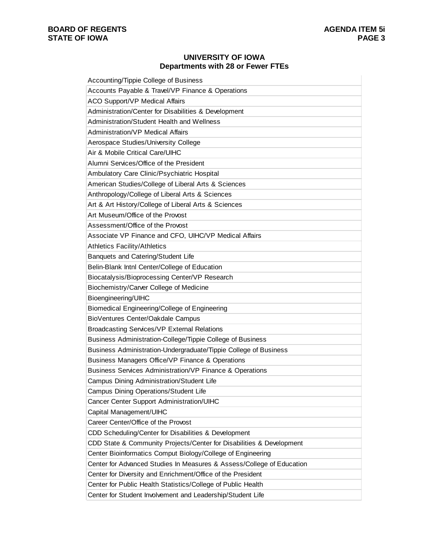### **UNIVERSITY OF IOWA Departments with 28 or Fewer FTEs**

| Accounting/Tippie College of Business                                 |
|-----------------------------------------------------------------------|
| Accounts Payable & Travel/VP Finance & Operations                     |
| <b>ACO Support/VP Medical Affairs</b>                                 |
| Administration/Center for Disabilities & Development                  |
| Administration/Student Health and Wellness                            |
| Administration/VP Medical Affairs                                     |
| Aerospace Studies/University College                                  |
| Air & Mobile Critical Care/UIHC                                       |
| Alumni Services/Office of the President                               |
| Ambulatory Care Clinic/Psychiatric Hospital                           |
| American Studies/College of Liberal Arts & Sciences                   |
| Anthropology/College of Liberal Arts & Sciences                       |
| Art & Art History/College of Liberal Arts & Sciences                  |
| Art Museum/Office of the Provost                                      |
| Assessment/Office of the Provost                                      |
| Associate VP Finance and CFO, UIHC/VP Medical Affairs                 |
| <b>Athletics Facility/Athletics</b>                                   |
| Banquets and Catering/Student Life                                    |
| Belin-Blank Intnl Center/College of Education                         |
| Biocatalysis/Bioprocessing Center/VP Research                         |
| Biochemistry/Carver College of Medicine                               |
| Bioengineering/UIHC                                                   |
| Biomedical Engineering/College of Engineering                         |
| BioVentures Center/Oakdale Campus                                     |
| <b>Broadcasting Services/VP External Relations</b>                    |
| Business Administration-College/Tippie College of Business            |
| Business Administration-Undergraduate/Tippie College of Business      |
| Business Managers Office/VP Finance & Operations                      |
| <b>Business Services Administration/VP Finance &amp; Operations</b>   |
| Campus Dining Administration/Student Life                             |
| Campus Dining Operations/Student Life                                 |
| Cancer Center Support Administration/UIHC                             |
| Capital Management/UIHC                                               |
| Career Center/Office of the Provost                                   |
| CDD Scheduling/Center for Disabilities & Development                  |
| CDD State & Community Projects/Center for Disabilities & Development  |
| Center Bioinformatics Comput Biology/College of Engineering           |
| Center for Advanced Studies In Measures & Assess/College of Education |
| Center for Diversity and Enrichment/Office of the President           |
| Center for Public Health Statistics/College of Public Health          |
| Center for Student Involvement and Leadership/Student Life            |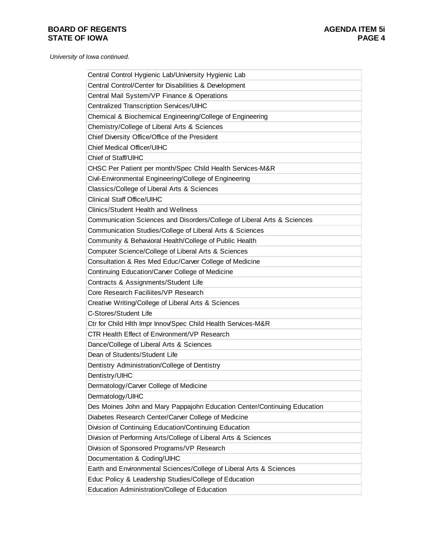| Central Control Hygienic Lab/University Hygienic Lab                     |
|--------------------------------------------------------------------------|
| Central Control/Center for Disabilities & Development                    |
| Central Mail System/VP Finance & Operations                              |
| Centralized Transcription Services/UIHC                                  |
| Chemical & Biochemical Engineering/College of Engineering                |
| Chemistry/College of Liberal Arts & Sciences                             |
| Chief Diversity Office/Office of the President                           |
| <b>Chief Medical Officer/UIHC</b>                                        |
| Chief of Staff/UIHC                                                      |
| CHSC Per Patient per month/Spec Child Health Services-M&R                |
| Civil-Environmental Engineering/College of Engineering                   |
| Classics/College of Liberal Arts & Sciences                              |
| <b>Clinical Staff Office/UIHC</b>                                        |
| <b>Clinics/Student Health and Wellness</b>                               |
| Communication Sciences and Disorders/College of Liberal Arts & Sciences  |
| Communication Studies/College of Liberal Arts & Sciences                 |
| Community & Behavioral Health/College of Public Health                   |
| Computer Science/College of Liberal Arts & Sciences                      |
| Consultation & Res Med Educ/Carver College of Medicine                   |
| Continuing Education/Carver College of Medicine                          |
| Contracts & Assignments/Student Life                                     |
| Core Research Faciliites/VP Research                                     |
| Creative Writing/College of Liberal Arts & Sciences                      |
| C-Stores/Student Life                                                    |
| Ctr for Child Hith Impr Innov/Spec Child Health Services-M&R             |
| CTR Health Effect of Environment/VP Research                             |
| Dance/College of Liberal Arts & Sciences                                 |
| Dean of Students/Student Life                                            |
| Dentistry Administration/College of Dentistry                            |
| Dentistry/UIHC                                                           |
| Dermatology/Carver College of Medicine                                   |
| Dermatology/UIHC                                                         |
| Des Moines John and Mary Pappajohn Education Center/Continuing Education |
| Diabetes Research Center/Carver College of Medicine                      |
| Division of Continuing Education/Continuing Education                    |
| Division of Performing Arts/College of Liberal Arts & Sciences           |
| Division of Sponsored Programs/VP Research                               |
| Documentation & Coding/UIHC                                              |
| Earth and Environmental Sciences/College of Liberal Arts & Sciences      |
| Educ Policy & Leadership Studies/College of Education                    |
| <b>Education Administration/College of Education</b>                     |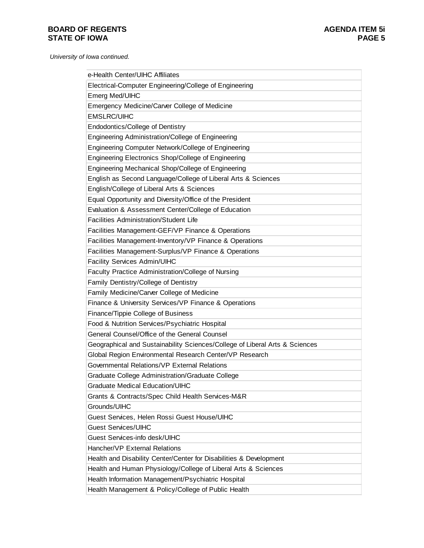| e-Health Center/UIHC Affiliates                                             |
|-----------------------------------------------------------------------------|
| Electrical-Computer Engineering/College of Engineering                      |
| Emerg Med/UIHC                                                              |
| Emergency Medicine/Carver College of Medicine                               |
| <b>EMSLRC/UIHC</b>                                                          |
| <b>Endodontics/College of Dentistry</b>                                     |
| Engineering Administration/College of Engineering                           |
| Engineering Computer Network/College of Engineering                         |
| Engineering Electronics Shop/College of Engineering                         |
| Engineering Mechanical Shop/College of Engineering                          |
| English as Second Language/College of Liberal Arts & Sciences               |
| English/College of Liberal Arts & Sciences                                  |
| Equal Opportunity and Diversity/Office of the President                     |
| Evaluation & Assessment Center/College of Education                         |
| <b>Facilities Administration/Student Life</b>                               |
| Facilities Management-GEF/VP Finance & Operations                           |
| Facilities Management-Inventory/VP Finance & Operations                     |
| Facilities Management-Surplus/VP Finance & Operations                       |
| Facility Services Admin/UIHC                                                |
| Faculty Practice Administration/College of Nursing                          |
| Family Dentistry/College of Dentistry                                       |
| Family Medicine/Carver College of Medicine                                  |
| Finance & University Services/VP Finance & Operations                       |
| Finance/Tippie College of Business                                          |
| Food & Nutrition Services/Psychiatric Hospital                              |
| General Counsel/Office of the General Counsel                               |
| Geographical and Sustainability Sciences/College of Liberal Arts & Sciences |
| Global Region Environmental Research Center/VP Research                     |
| Governmental Relations/VP External Relations                                |
| Graduate College Administration/Graduate College                            |
| <b>Graduate Medical Education/UIHC</b>                                      |
| Grants & Contracts/Spec Child Health Services-M&R                           |
| Grounds/UIHC                                                                |
| Guest Services, Helen Rossi Guest House/UIHC                                |
| <b>Guest Services/UIHC</b>                                                  |
| Guest Services-info desk/UIHC                                               |
| Hancher/VP External Relations                                               |
| Health and Disability Center/Center for Disabilities & Development          |
| Health and Human Physiology/College of Liberal Arts & Sciences              |
| Health Information Management/Psychiatric Hospital                          |
| Health Management & Policy/College of Public Health                         |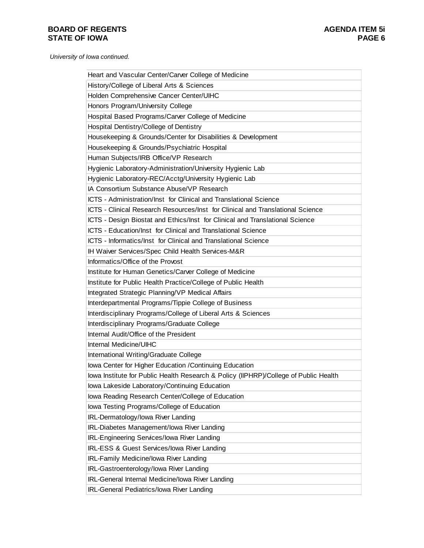| Heart and Vascular Center/Carver College of Medicine                                 |
|--------------------------------------------------------------------------------------|
| History/College of Liberal Arts & Sciences                                           |
| Holden Comprehensive Cancer Center/UIHC                                              |
| Honors Program/University College                                                    |
| Hospital Based Programs/Carver College of Medicine                                   |
| Hospital Dentistry/College of Dentistry                                              |
| Housekeeping & Grounds/Center for Disabilities & Development                         |
| Housekeeping & Grounds/Psychiatric Hospital                                          |
| Human Subjects/IRB Office/VP Research                                                |
| Hygienic Laboratory-Administration/University Hygienic Lab                           |
| Hygienic Laboratory-REC/Acctg/University Hygienic Lab                                |
| IA Consortium Substance Abuse/VP Research                                            |
| ICTS - Administration/Inst for Clinical and Translational Science                    |
| ICTS - Clinical Research Resources/Inst for Clinical and Translational Science       |
| ICTS - Design Biostat and Ethics/Inst for Clinical and Translational Science         |
| ICTS - Education/Inst for Clinical and Translational Science                         |
| ICTS - Informatics/Inst for Clinical and Translational Science                       |
| IH Waiver Services/Spec Child Health Services-M&R                                    |
| Informatics/Office of the Provost                                                    |
| Institute for Human Genetics/Carver College of Medicine                              |
| Institute for Public Health Practice/College of Public Health                        |
| Integrated Strategic Planning/VP Medical Affairs                                     |
| Interdepartmental Programs/Tippie College of Business                                |
| Interdisciplinary Programs/College of Liberal Arts & Sciences                        |
| Interdisciplinary Programs/Graduate College                                          |
| Internal Audit/Office of the President                                               |
| Internal Medicine/UIHC                                                               |
| International Writing/Graduate College                                               |
| Iowa Center for Higher Education / Continuing Education                              |
| lowa Institute for Public Health Research & Policy (IIPHRP)/College of Public Health |
| Iowa Lakeside Laboratory/Continuing Education                                        |
| Iowa Reading Research Center/College of Education                                    |
| Iowa Testing Programs/College of Education                                           |
| IRL-Dermatology/lowa River Landing                                                   |
| IRL-Diabetes Management/Iowa River Landing                                           |
| IRL-Engineering Services/lowa River Landing                                          |
| IRL-ESS & Guest Services/lowa River Landing                                          |
| IRL-Family Medicine/lowa River Landing                                               |
| IRL-Gastroenterology/lowa River Landing                                              |
| IRL-General Internal Medicine/Iowa River Landing                                     |
| IRL-General Pediatrics/lowa River Landing                                            |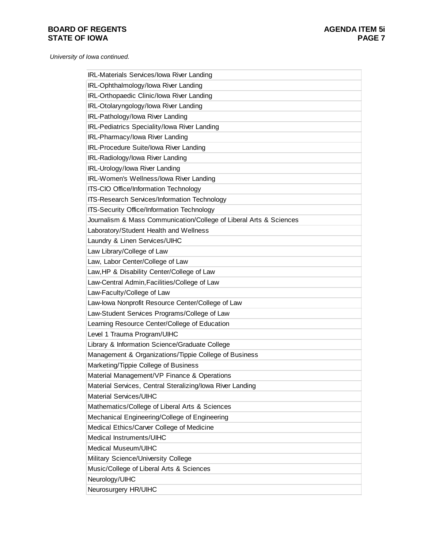| IRL-Materials Services/lowa River Landing                          |
|--------------------------------------------------------------------|
| IRL-Ophthalmology/lowa River Landing                               |
| IRL-Orthopaedic Clinic/Iowa River Landing                          |
| IRL-Otolaryngology/lowa River Landing                              |
| IRL-Pathology/lowa River Landing                                   |
| IRL-Pediatrics Speciality/lowa River Landing                       |
| IRL-Pharmacy/lowa River Landing                                    |
| IRL-Procedure Suite/Iowa River Landing                             |
| IRL-Radiology/lowa River Landing                                   |
| IRL-Urology/lowa River Landing                                     |
| IRL-Women's Wellness/lowa River Landing                            |
| ITS-CIO Office/Information Technology                              |
| ITS-Research Services/Information Technology                       |
| ITS-Security Office/Information Technology                         |
| Journalism & Mass Communication/College of Liberal Arts & Sciences |
| Laboratory/Student Health and Wellness                             |
| Laundry & Linen Services/UIHC                                      |
| Law Library/College of Law                                         |
| Law, Labor Center/College of Law                                   |
| Law, HP & Disability Center/College of Law                         |
| Law-Central Admin, Facilities/College of Law                       |
| Law-Faculty/College of Law                                         |
| Law-lowa Nonprofit Resource Center/College of Law                  |
| Law-Student Services Programs/College of Law                       |
| Learning Resource Center/College of Education                      |
| Level 1 Trauma Program/UIHC                                        |
| Library & Information Science/Graduate College                     |
| Management & Organizations/Tippie College of Business              |
| Marketing/Tippie College of Business                               |
| Material Management/VP Finance & Operations                        |
| Material Services, Central Steralizing/lowa River Landing          |
| Material Services/UIHC                                             |
| Mathematics/College of Liberal Arts & Sciences                     |
| Mechanical Engineering/College of Engineering                      |
| Medical Ethics/Carver College of Medicine                          |
| Medical Instruments/UIHC                                           |
| Medical Museum/UIHC                                                |
| Military Science/University College                                |
| Music/College of Liberal Arts & Sciences                           |
| Neurology/UIHC                                                     |
| Neurosurgery HR/UIHC                                               |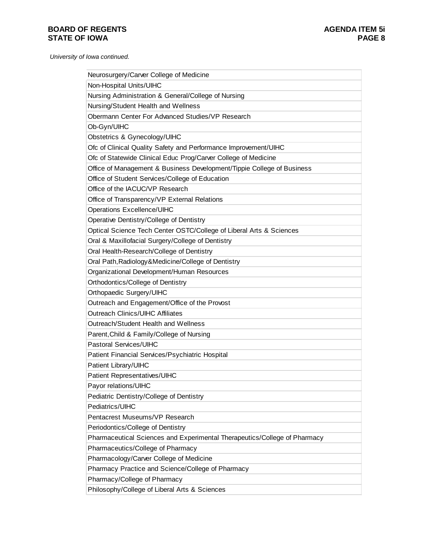| Neurosurgery/Carver College of Medicine                                   |
|---------------------------------------------------------------------------|
| Non-Hospital Units/UIHC                                                   |
| Nursing Administration & General/College of Nursing                       |
| Nursing/Student Health and Wellness                                       |
| Obermann Center For Advanced Studies/VP Research                          |
| Ob-Gyn/UIHC                                                               |
| Obstetrics & Gynecology/UIHC                                              |
| Ofc of Clinical Quality Safety and Performance Improvement/UIHC           |
| Ofc of Statewide Clinical Educ Prog/Carver College of Medicine            |
| Office of Management & Business Development/Tippie College of Business    |
| Office of Student Services/College of Education                           |
| Office of the IACUC/VP Research                                           |
| Office of Transparency/VP External Relations                              |
| Operations Excellence/UIHC                                                |
| Operative Dentistry/College of Dentistry                                  |
| Optical Science Tech Center OSTC/College of Liberal Arts & Sciences       |
| Oral & Maxillofacial Surgery/College of Dentistry                         |
| Oral Health-Research/College of Dentistry                                 |
| Oral Path, Radiology & Medicine/College of Dentistry                      |
| Organizational Development/Human Resources                                |
| Orthodontics/College of Dentistry                                         |
| Orthopaedic Surgery/UIHC                                                  |
| Outreach and Engagement/Office of the Provost                             |
| <b>Outreach Clinics/UIHC Affiliates</b>                                   |
| Outreach/Student Health and Wellness                                      |
| Parent, Child & Family/College of Nursing                                 |
| Pastoral Services/UIHC                                                    |
| Patient Financial Services/Psychiatric Hospital                           |
| Patient Library/UIHC                                                      |
| Patient Representatives/UIHC                                              |
| Payor relations/UIHC                                                      |
| Pediatric Dentistry/College of Dentistry                                  |
| Pediatrics/UIHC                                                           |
| Pentacrest Museums/VP Research                                            |
| Periodontics/College of Dentistry                                         |
| Pharmaceutical Sciences and Experimental Therapeutics/College of Pharmacy |
| Pharmaceutics/College of Pharmacy                                         |
| Pharmacology/Carver College of Medicine                                   |
| Pharmacy Practice and Science/College of Pharmacy                         |
| Pharmacy/College of Pharmacy                                              |
| Philosophy/College of Liberal Arts & Sciences                             |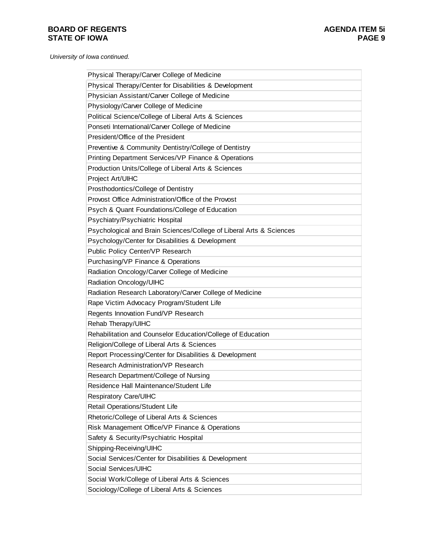| Physical Therapy/Carver College of Medicine                         |
|---------------------------------------------------------------------|
| Physical Therapy/Center for Disabilities & Development              |
| Physician Assistant/Carver College of Medicine                      |
| Physiology/Carver College of Medicine                               |
| Political Science/College of Liberal Arts & Sciences                |
| Ponseti International/Carver College of Medicine                    |
| President/Office of the President                                   |
| Preventive & Community Dentistry/College of Dentistry               |
| Printing Department Services/VP Finance & Operations                |
| Production Units/College of Liberal Arts & Sciences                 |
| Project Art/UIHC                                                    |
| Prosthodontics/College of Dentistry                                 |
| Provost Office Administration/Office of the Provost                 |
| Psych & Quant Foundations/College of Education                      |
| Psychiatry/Psychiatric Hospital                                     |
| Psychological and Brain Sciences/College of Liberal Arts & Sciences |
| Psychology/Center for Disabilities & Development                    |
| Public Policy Center/VP Research                                    |
| Purchasing/VP Finance & Operations                                  |
| Radiation Oncology/Carver College of Medicine                       |
| Radiation Oncology/UIHC                                             |
| Radiation Research Laboratory/Carver College of Medicine            |
| Rape Victim Advocacy Program/Student Life                           |
| Regents Innovation Fund/VP Research                                 |
| Rehab Therapy/UIHC                                                  |
| Rehabilitation and Counselor Education/College of Education         |
| Religion/College of Liberal Arts & Sciences                         |
| Report Processing/Center for Disabilities & Development             |
| <b>Research Administration/VP Research</b>                          |
| Research Department/College of Nursing                              |
| Residence Hall Maintenance/Student Life                             |
| Respiratory Care/UIHC                                               |
| Retail Operations/Student Life                                      |
| Rhetoric/College of Liberal Arts & Sciences                         |
| Risk Management Office/VP Finance & Operations                      |
| Safety & Security/Psychiatric Hospital                              |
| Shipping-Receiving/UIHC                                             |
| Social Services/Center for Disabilities & Development               |
| Social Services/UIHC                                                |
| Social Work/College of Liberal Arts & Sciences                      |
| Sociology/College of Liberal Arts & Sciences                        |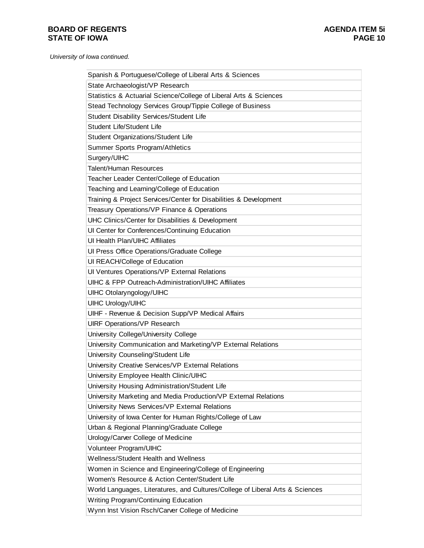| Spanish & Portuguese/College of Liberal Arts & Sciences                       |
|-------------------------------------------------------------------------------|
| State Archaeologist/VP Research                                               |
| Statistics & Actuarial Science/College of Liberal Arts & Sciences             |
| Stead Technology Services Group/Tippie College of Business                    |
| Student Disability Services/Student Life                                      |
| Student Life/Student Life                                                     |
| Student Organizations/Student Life                                            |
| Summer Sports Program/Athletics                                               |
| Surgery/UIHC                                                                  |
| <b>Talent/Human Resources</b>                                                 |
| Teacher Leader Center/College of Education                                    |
| Teaching and Learning/College of Education                                    |
| Training & Project Services/Center for Disabilities & Development             |
| Treasury Operations/VP Finance & Operations                                   |
| UHC Clinics/Center for Disabilities & Development                             |
| UI Center for Conferences/Continuing Education                                |
| UI Health Plan/UIHC Affiliates                                                |
| Ul Press Office Operations/Graduate College                                   |
| UI REACH/College of Education                                                 |
| Ul Ventures Operations/VP External Relations                                  |
| <b>UIHC &amp; FPP Outreach-Administration/UIHC Affiliates</b>                 |
| UIHC Otolaryngology/UIHC                                                      |
| <b>UIHC Urology/UIHC</b>                                                      |
| UIHF - Revenue & Decision Supp/VP Medical Affairs                             |
| <b>UIRF Operations/VP Research</b>                                            |
| University College/University College                                         |
| University Communication and Marketing/VP External Relations                  |
| University Counseling/Student Life                                            |
| University Creative Services/VP External Relations                            |
| University Employee Health Clinic/UIHC                                        |
| University Housing Administration/Student Life                                |
| University Marketing and Media Production/VP External Relations               |
| University News Services/VP External Relations                                |
| University of Iowa Center for Human Rights/College of Law                     |
| Urban & Regional Planning/Graduate College                                    |
| Urology/Carver College of Medicine                                            |
| Volunteer Program/UIHC                                                        |
| Wellness/Student Health and Wellness                                          |
| Women in Science and Engineering/College of Engineering                       |
| Women's Resource & Action Center/Student Life                                 |
| World Languages, Literatures, and Cultures/College of Liberal Arts & Sciences |
| Writing Program/Continuing Education                                          |
| Wynn Inst Vision Rsch/Carver College of Medicine                              |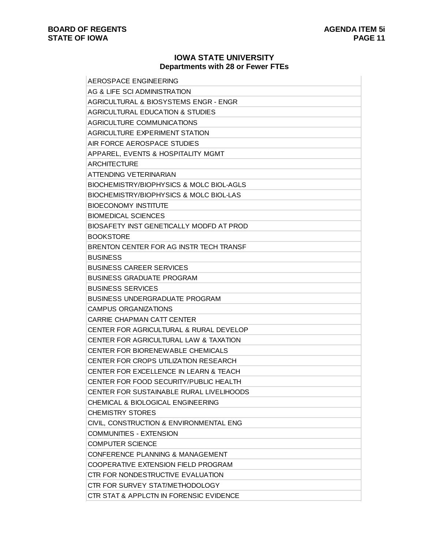### **IOWA STATE UNIVERSITY Departments with 28 or Fewer FTEs**

| AEROSPACE ENGINEERING                               |
|-----------------------------------------------------|
| AG & LIFE SCI ADMINISTRATION                        |
| AGRICULTURAL & BIOSYSTEMS ENGR - ENGR               |
| <b>AGRICULTURAL EDUCATION &amp; STUDIES</b>         |
| AGRICULTURE COMMUNICATIONS                          |
| <b>AGRICULTURE EXPERIMENT STATION</b>               |
| AIR FORCE AEROSPACE STUDIES                         |
| APPAREL, EVENTS & HOSPITALITY MGMT                  |
| ARCHITECTURE                                        |
| ATTENDING VETERINARIAN                              |
| <b>BIOCHEMISTRY/BIOPHYSICS &amp; MOLC BIOL-AGLS</b> |
| <b>BIOCHEMISTRY/BIOPHYSICS &amp; MOLC BIOL-LAS</b>  |
| <b>BIOECONOMY INSTITUTE</b>                         |
| <b>BIOMEDICAL SCIENCES</b>                          |
| BIOSAFETY INST GENETICALLY MODFD AT PROD            |
| <b>BOOKSTORE</b>                                    |
| BRENTON CENTER FOR AG INSTR TECH TRANSF             |
| <b>BUSINESS</b>                                     |
| <b>BUSINESS CAREER SERVICES</b>                     |
| <b>BUSINESS GRADUATE PROGRAM</b>                    |
| <b>BUSINESS SERVICES</b>                            |
| <b>BUSINESS UNDERGRADUATE PROGRAM</b>               |
| <b>CAMPUS ORGANIZATIONS</b>                         |
| CARRIE CHAPMAN CATT CENTER                          |
| CENTER FOR AGRICULTURAL & RURAL DEVELOP             |
| <b>CENTER FOR AGRICULTURAL LAW &amp; TAXATION</b>   |
| <b>CENTER FOR BIORENEWABLE CHEMICALS</b>            |
| CENTER FOR CROPS UTILIZATION RESEARCH               |
| CENTER FOR EXCELLENCE IN LEARN & TEACH              |
| CENTER FOR FOOD SECURITY/PUBLIC HEALTH              |
| <b>CENTER FOR SUSTAINABLE RURAL LIVELIHOODS</b>     |
| CHEMICAL & BIOLOGICAL ENGINEERING                   |
| <b>CHEMISTRY STORES</b>                             |
| CIVIL, CONSTRUCTION & ENVIRONMENTAL ENG             |
| <b>COMMUNITIES - EXTENSION</b>                      |
| <b>COMPUTER SCIENCE</b>                             |
| CONFERENCE PLANNING & MANAGEMENT                    |
| COOPERATIVE EXTENSION FIELD PROGRAM                 |
| CTR FOR NONDESTRUCTIVE EVALUATION                   |
| CTR FOR SURVEY STAT/METHODOLOGY                     |
| CTR STAT & APPLCTN IN FORENSIC EVIDENCE             |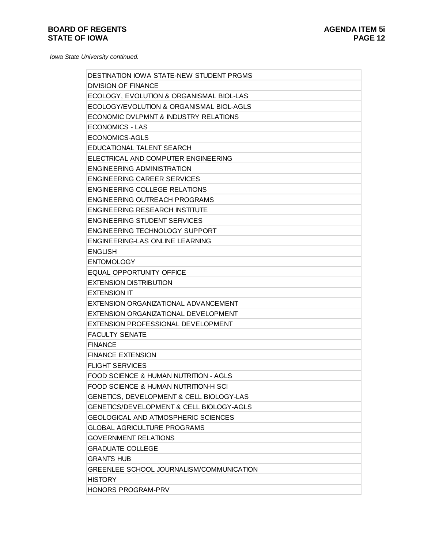| <b>DESTINATION IOWA STATE-NEW STUDENT PRGMS</b>  |
|--------------------------------------------------|
| <b>DIVISION OF FINANCE</b>                       |
| ECOLOGY, EVOLUTION & ORGANISMAL BIOL-LAS         |
| ECOLOGY/EVOLUTION & ORGANISMAL BIOL-AGLS         |
| ECONOMIC DVLPMNT & INDUSTRY RELATIONS            |
| <b>ECONOMICS - LAS</b>                           |
| <b>ECONOMICS-AGLS</b>                            |
| <b>EDUCATIONAL TALENT SEARCH</b>                 |
| ELECTRICAL AND COMPUTER ENGINEERING              |
| <b>ENGINEERING ADMINISTRATION</b>                |
| <b>ENGINEERING CAREER SERVICES</b>               |
| <b>ENGINEERING COLLEGE RELATIONS</b>             |
| ENGINEERING OUTREACH PROGRAMS                    |
| <b>ENGINEERING RESEARCH INSTITUTE</b>            |
| <b>ENGINEERING STUDENT SERVICES</b>              |
| <b>ENGINEERING TECHNOLOGY SUPPORT</b>            |
| ENGINEERING-LAS ONLINE LEARNING                  |
| <b>ENGLISH</b>                                   |
| <b>ENTOMOLOGY</b>                                |
| <b>EQUAL OPPORTUNITY OFFICE</b>                  |
| <b>EXTENSION DISTRIBUTION</b>                    |
| <b>EXTENSION IT</b>                              |
| EXTENSION ORGANIZATIONAL ADVANCEMENT             |
| EXTENSION ORGANIZATIONAL DEVELOPMENT             |
| EXTENSION PROFESSIONAL DEVELOPMENT               |
| <b>FACULTY SENATE</b>                            |
| <b>FINANCE</b>                                   |
| <b>FINANCE EXTENSION</b>                         |
| <b>FLIGHT SERVICES</b>                           |
| <b>FOOD SCIENCE &amp; HUMAN NUTRITION - AGLS</b> |
| <b>FOOD SCIENCE &amp; HUMAN NUTRITION-H SCI</b>  |
| GENETICS, DEVELOPMENT & CELL BIOLOGY-LAS         |
| GENETICS/DEVELOPMENT & CELL BIOLOGY-AGLS         |
| <b>GEOLOGICAL AND ATMOSPHERIC SCIENCES</b>       |
| <b>GLOBAL AGRICULTURE PROGRAMS</b>               |
| <b>GOVERNMENT RELATIONS</b>                      |
| <b>GRADUATE COLLEGE</b>                          |
| <b>GRANTS HUB</b>                                |
| GREENLEE SCHOOL JOURNALISM/COMMUNICATION         |
| <b>HISTORY</b>                                   |
| <b>HONORS PROGRAM-PRV</b>                        |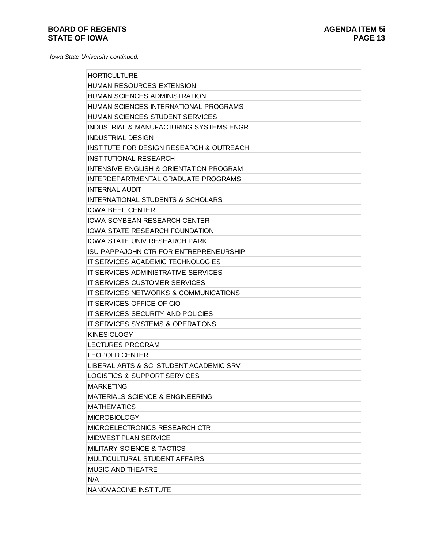| <b>HORTICULTURE</b>                                 |
|-----------------------------------------------------|
| <b>HUMAN RESOURCES EXTENSION</b>                    |
| HUMAN SCIENCES ADMINISTRATION                       |
| HUMAN SCIENCES INTERNATIONAL PROGRAMS               |
| HUMAN SCIENCES STUDENT SERVICES                     |
| INDUSTRIAL & MANUFACTURING SYSTEMS ENGR             |
| <b>INDUSTRIAL DESIGN</b>                            |
| <b>INSTITUTE FOR DESIGN RESEARCH &amp; OUTREACH</b> |
| <b>INSTITUTIONAL RESEARCH</b>                       |
| <b>INTENSIVE ENGLISH &amp; ORIENTATION PROGRAM</b>  |
| INTERDEPARTMENTAL GRADUATE PROGRAMS                 |
| <b>INTERNAL AUDIT</b>                               |
| <b>INTERNATIONAL STUDENTS &amp; SCHOLARS</b>        |
| <b>IOWA BEEF CENTER</b>                             |
| <b>IOWA SOYBEAN RESEARCH CENTER</b>                 |
| <b>IOWA STATE RESEARCH FOUNDATION</b>               |
| IOWA STATE UNIV RESEARCH PARK                       |
| <b>ISU PAPPAJOHN CTR FOR ENTREPRENEURSHIP</b>       |
| IT SERVICES ACADEMIC TECHNOLOGIES                   |
| IT SERVICES ADMINISTRATIVE SERVICES                 |
| <b>IT SERVICES CUSTOMER SERVICES</b>                |
| IT SERVICES NETWORKS & COMMUNICATIONS               |
| IT SERVICES OFFICE OF CIO                           |
| IT SERVICES SECURITY AND POLICIES                   |
| IT SERVICES SYSTEMS & OPERATIONS                    |
| <b>KINESIOLOGY</b>                                  |
| <b>LECTURES PROGRAM</b>                             |
| LEOPOLD CENTER                                      |
| LIBERAL ARTS & SCI STUDENT ACADEMIC SRV             |
| <b>LOGISTICS &amp; SUPPORT SERVICES</b>             |
| <b>MARKETING</b>                                    |
| <b>MATERIALS SCIENCE &amp; ENGINEERING</b>          |
| <b>MATHEMATICS</b>                                  |
| <b>MICROBIOLOGY</b>                                 |
| MICROELECTRONICS RESEARCH CTR                       |
| <b>MIDWEST PLAN SERVICE</b>                         |
| <b>MILITARY SCIENCE &amp; TACTICS</b>               |
| <b>MULTICULTURAL STUDENT AFFAIRS</b>                |
| <b>MUSIC AND THEATRE</b>                            |
| N/A                                                 |
| NANOVACCINE INSTITUTE                               |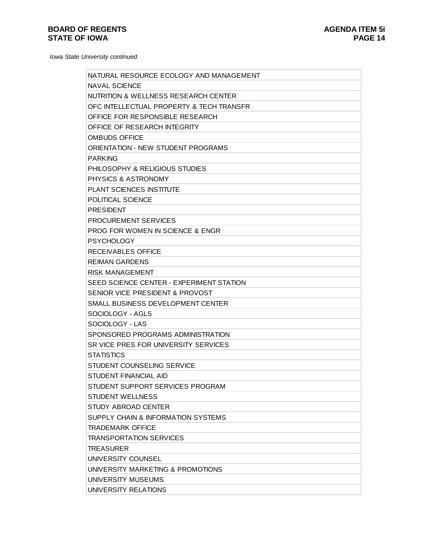| NATURAL RESOURCE ECOLOGY AND MANAGEMENT   |
|-------------------------------------------|
| <b>NAVAL SCIENCE</b>                      |
| NUTRITION & WELLNESS RESEARCH CENTER      |
| OFC INTELLECTUAL PROPERTY & TECH TRANSFR  |
| OFFICE FOR RESPONSIBLE RESEARCH           |
| OFFICE OF RESEARCH INTEGRITY              |
| <b>OMBUDS OFFICE</b>                      |
| <b>ORIENTATION - NEW STUDENT PROGRAMS</b> |
| <b>PARKING</b>                            |
| PHILOSOPHY & RELIGIOUS STUDIES            |
| PHYSICS & ASTRONOMY                       |
| PLANT SCIENCES INSTITUTE                  |
| POLITICAL SCIENCE                         |
| <b>PRESIDENT</b>                          |
| <b>PROCUREMENT SERVICES</b>               |
| PROG FOR WOMEN IN SCIENCE & ENGR          |
| <b>PSYCHOLOGY</b>                         |
| <b>RECEIVABLES OFFICE</b>                 |
| <b>REIMAN GARDENS</b>                     |
| <b>RISK MANAGEMENT</b>                    |
| SEED SCIENCE CENTER - EXPERIMENT STATION  |
| SENIOR VICE PRESIDENT & PROVOST           |
| SMALL BUSINESS DEVELOPMENT CENTER         |
| SOCIOLOGY - AGLS                          |
| SOCIOLOGY - LAS                           |
| SPONSORED PROGRAMS ADMINISTRATION         |
| SR VICE PRES FOR UNIVERSITY SERVICES      |
| <b>STATISTICS</b>                         |
| STUDENT COUNSELING SERVICE                |
| <b>STUDENT FINANCIAL AID</b>              |
| STUDENT SUPPORT SERVICES PROGRAM          |
| <b>STUDENT WELLNESS</b>                   |
| <b>STUDY ABROAD CENTER</b>                |
| SUPPLY CHAIN & INFORMATION SYSTEMS        |
| <b>TRADEMARK OFFICE</b>                   |
| <b>TRANSPORTATION SERVICES</b>            |
| <b>TREASURER</b>                          |
| UNIVERSITY COUNSEL                        |
| UNIVERSITY MARKETING & PROMOTIONS         |
| UNIVERSITY MUSEUMS                        |
| UNIVERSITY RELATIONS                      |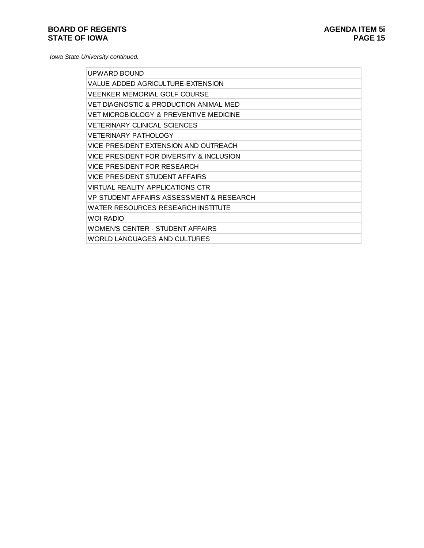| UPWARD BOUND                              |
|-------------------------------------------|
| VALUE ADDED AGRICULTURE-EXTENSION         |
| <b>VEENKER MEMORIAL GOLF COURSE</b>       |
| VET DIAGNOSTIC & PRODUCTION ANIMAL MED    |
| VET MICROBIOLOGY & PREVENTIVE MEDICINE    |
| <b>VETERINARY CLINICAL SCIENCES</b>       |
| <b>VETERINARY PATHOLOGY</b>               |
| VICE PRESIDENT EXTENSION AND OUTREACH     |
| VICE PRESIDENT FOR DIVERSITY & INCLUSION  |
| VICE PRESIDENT FOR RESEARCH               |
| VICE PRESIDENT STUDENT AFFAIRS            |
| <b>VIRTUAL REALITY APPLICATIONS CTR</b>   |
| VP STUDENT AFFAIRS ASSESSMENT & RESEARCH  |
| <b>WATER RESOURCES RESEARCH INSTITUTE</b> |
| <b>WOI RADIO</b>                          |
| WOMEN'S CENTER - STUDENT AFFAIRS          |
| WORLD LANGUAGES AND CULTURES              |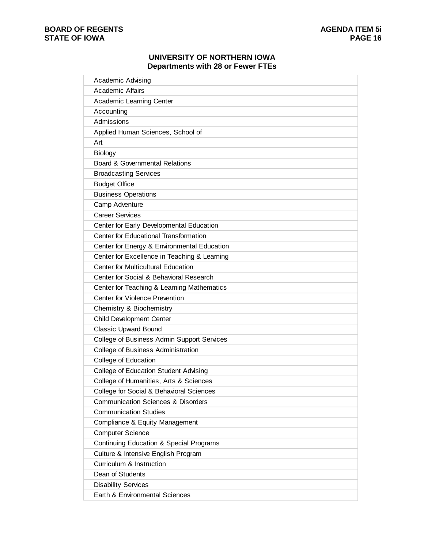#### **UNIVERSITY OF NORTHERN IOWA Departments with 28 or Fewer FTEs**

| <b>Academic Affairs</b>         |                                                    |  |
|---------------------------------|----------------------------------------------------|--|
| Academic Learning Center        |                                                    |  |
| Accounting                      |                                                    |  |
| Admissions                      |                                                    |  |
|                                 | Applied Human Sciences, School of                  |  |
| Art                             |                                                    |  |
| <b>Biology</b>                  |                                                    |  |
|                                 | Board & Governmental Relations                     |  |
| <b>Broadcasting Services</b>    |                                                    |  |
| <b>Budget Office</b>            |                                                    |  |
| <b>Business Operations</b>      |                                                    |  |
| Camp Adventure                  |                                                    |  |
| <b>Career Services</b>          |                                                    |  |
|                                 | Center for Early Developmental Education           |  |
|                                 | Center for Educational Transformation              |  |
|                                 | Center for Energy & Environmental Education        |  |
|                                 | Center for Excellence in Teaching & Learning       |  |
|                                 | <b>Center for Multicultural Education</b>          |  |
|                                 | Center for Social & Behavioral Research            |  |
|                                 | Center for Teaching & Learning Mathematics         |  |
|                                 | Center for Violence Prevention                     |  |
| Chemistry & Biochemistry        |                                                    |  |
| <b>Child Development Center</b> |                                                    |  |
| <b>Classic Upward Bound</b>     |                                                    |  |
|                                 | College of Business Admin Support Services         |  |
|                                 | College of Business Administration                 |  |
| College of Education            |                                                    |  |
|                                 | <b>College of Education Student Advising</b>       |  |
|                                 | College of Humanities, Arts & Sciences             |  |
|                                 | College for Social & Behavioral Sciences           |  |
|                                 | <b>Communication Sciences &amp; Disorders</b>      |  |
| <b>Communication Studies</b>    |                                                    |  |
|                                 | Compliance & Equity Management                     |  |
| <b>Computer Science</b>         |                                                    |  |
|                                 | <b>Continuing Education &amp; Special Programs</b> |  |
|                                 | Culture & Intensive English Program                |  |
| Curriculum & Instruction        |                                                    |  |
| Dean of Students                |                                                    |  |
| <b>Disability Services</b>      |                                                    |  |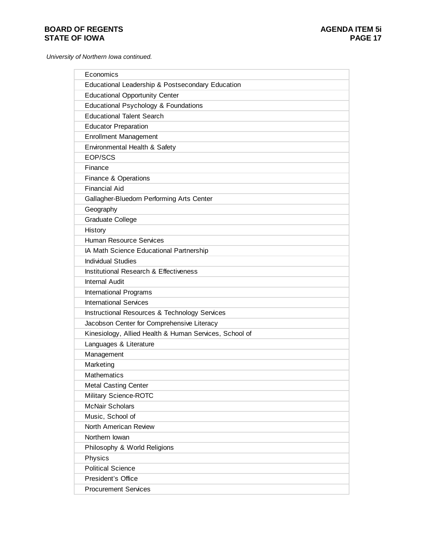*University of Northern Iowa continued.*

| Economics                                              |
|--------------------------------------------------------|
| Educational Leadership & Postsecondary Education       |
| <b>Educational Opportunity Center</b>                  |
| Educational Psychology & Foundations                   |
| <b>Educational Talent Search</b>                       |
| <b>Educator Preparation</b>                            |
| <b>Enrollment Management</b>                           |
| Environmental Health & Safety                          |
| EOP/SCS                                                |
| Finance                                                |
| Finance & Operations                                   |
| <b>Financial Aid</b>                                   |
| Gallagher-Bluedorn Performing Arts Center              |
| Geography                                              |
| Graduate College                                       |
| History                                                |
| <b>Human Resource Services</b>                         |
| IA Math Science Educational Partnership                |
| <b>Individual Studies</b>                              |
| Institutional Research & Effectiveness                 |
| <b>Internal Audit</b>                                  |
| <b>International Programs</b>                          |
| <b>International Services</b>                          |
| Instructional Resources & Technology Services          |
| Jacobson Center for Comprehensive Literacy             |
| Kinesiology, Allied Health & Human Services, School of |
| Languages & Literature                                 |
| Management                                             |
| Marketing                                              |
| <b>Mathematics</b>                                     |
| <b>Metal Casting Center</b>                            |
| Military Science-ROTC                                  |
| <b>McNair Scholars</b>                                 |
| Music, School of                                       |
| North American Review                                  |
| Northern Iowan                                         |
| Philosophy & World Religions                           |
| Physics                                                |
| <b>Political Science</b>                               |
| President's Office                                     |
| <b>Procurement Services</b>                            |